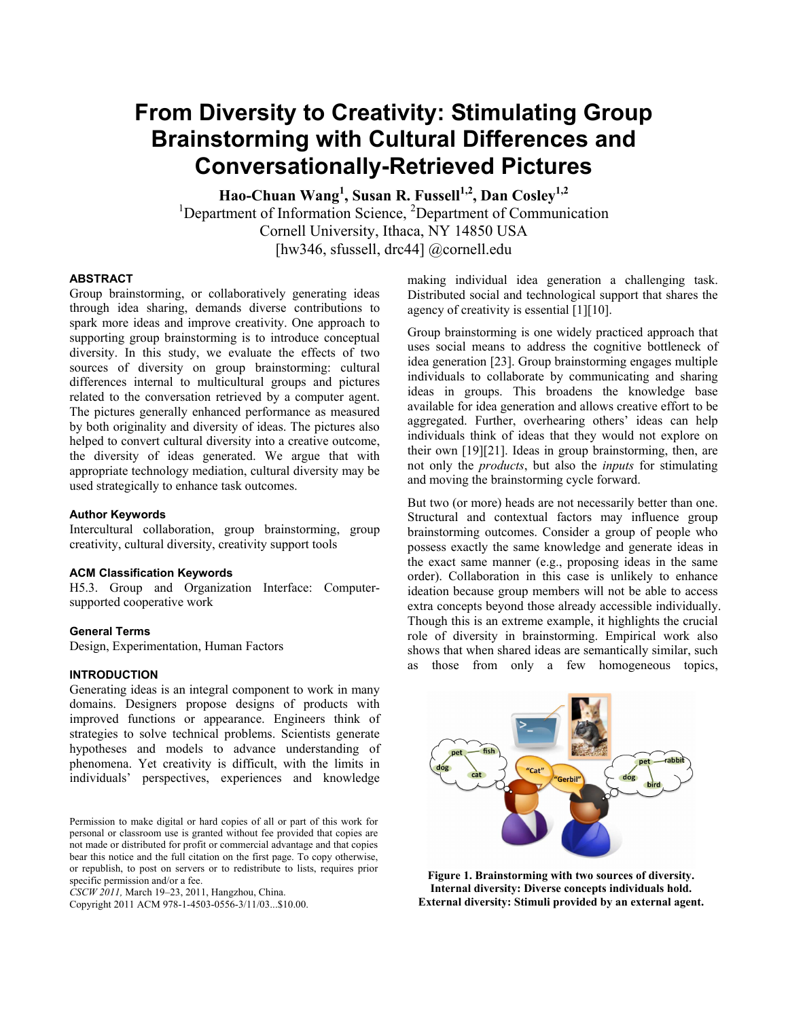# **From Diversity to Creativity: Stimulating Group Brainstorming with Cultural Differences and Conversationally-Retrieved Pictures**

**Hao-Chuan Wang<sup>1</sup> , Susan R. Fussell1,2, Dan Cosley1,2** <sup>1</sup>Department of Information Science, <sup>2</sup>Department of Communication Cornell University, Ithaca, NY 14850 USA [hw346, sfussell, drc44] @cornell.edu

#### **ABSTRACT**

Group brainstorming, or collaboratively generating ideas through idea sharing, demands diverse contributions to spark more ideas and improve creativity. One approach to supporting group brainstorming is to introduce conceptual diversity. In this study, we evaluate the effects of two sources of diversity on group brainstorming: cultural differences internal to multicultural groups and pictures related to the conversation retrieved by a computer agent. The pictures generally enhanced performance as measured by both originality and diversity of ideas. The pictures also helped to convert cultural diversity into a creative outcome. the diversity of ideas generated. We argue that with appropriate technology mediation, cultural diversity may be used strategically to enhance task outcomes.

#### **Author Keywords**

Intercultural collaboration, group brainstorming, group creativity, cultural diversity, creativity support tools

#### **ACM Classification Keywords**

H5.3. Group and Organization Interface: Computersupported cooperative work

#### **General Terms**

Design, Experimentation, Human Factors

#### **INTRODUCTION**

Generating ideas is an integral component to work in many domains. Designers propose designs of products with improved functions or appearance. Engineers think of strategies to solve technical problems. Scientists generate hypotheses and models to advance understanding of phenomena. Yet creativity is difficult, with the limits in individuals' perspectives, experiences and knowledge

*CSCW 2011,* March 19–23, 2011, Hangzhou, China.

Copyright 2011 ACM 978-1-4503-0556-3/11/03...\$10.00.

making individual idea generation a challenging task. Distributed social and technological support that shares the agency of creativity is essential [1][10].

Group brainstorming is one widely practiced approach that uses social means to address the cognitive bottleneck of idea generation [23]. Group brainstorming engages multiple individuals to collaborate by communicating and sharing ideas in groups. This broadens the knowledge base available for idea generation and allows creative effort to be aggregated. Further, overhearing others' ideas can help individuals think of ideas that they would not explore on their own [19][21]. Ideas in group brainstorming, then, are not only the *products*, but also the *inputs* for stimulating and moving the brainstorming cycle forward.

But two (or more) heads are not necessarily better than one. Structural and contextual factors may influence group brainstorming outcomes. Consider a group of people who possess exactly the same knowledge and generate ideas in the exact same manner (e.g., proposing ideas in the same order). Collaboration in this case is unlikely to enhance ideation because group members will not be able to access extra concepts beyond those already accessible individually. Though this is an extreme example, it highlights the crucial role of diversity in brainstorming. Empirical work also shows that when shared ideas are semantically similar, such as those from only a few homogeneous topics,



**Figure 1. Brainstorming with two sources of diversity. Internal diversity: Diverse concepts individuals hold. External diversity: Stimuli provided by an external agent.** 

Permission to make digital or hard copies of all or part of this work for personal or classroom use is granted without fee provided that copies are not made or distributed for profit or commercial advantage and that copies bear this notice and the full citation on the first page. To copy otherwise, or republish, to post on servers or to redistribute to lists, requires prior specific permission and/or a fee.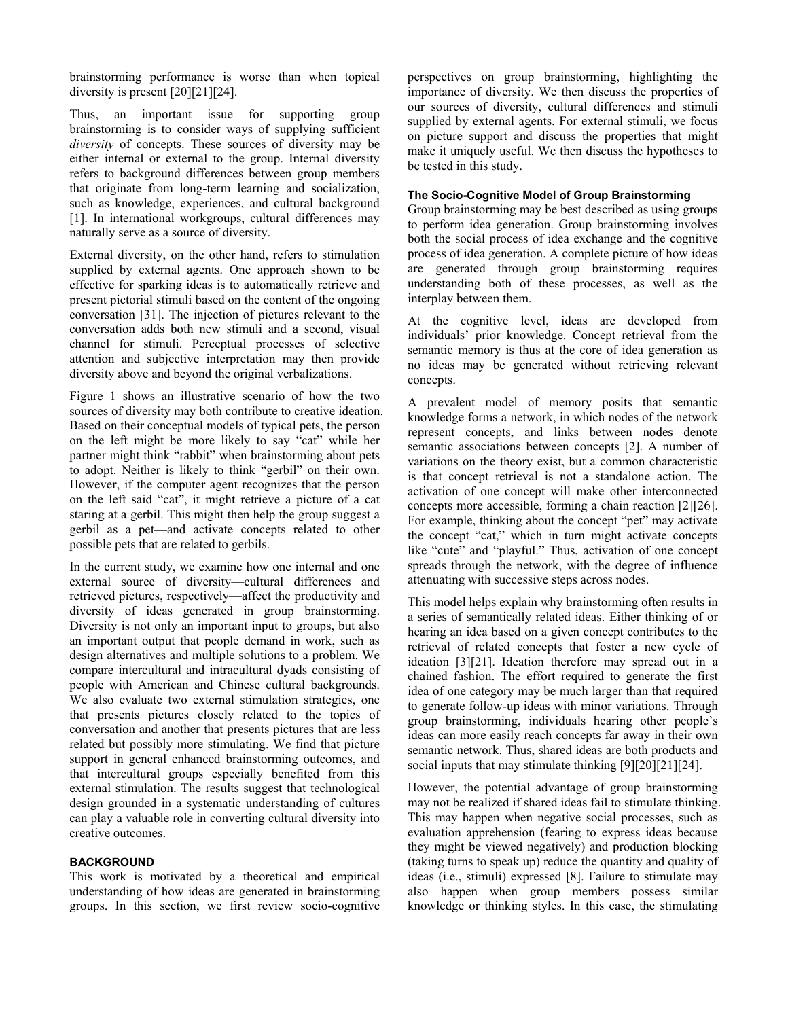brainstorming performance is worse than when topical diversity is present [20][21][24].

Thus, an important issue for supporting group brainstorming is to consider ways of supplying sufficient *diversity* of concepts. These sources of diversity may be either internal or external to the group. Internal diversity refers to background differences between group members that originate from long-term learning and socialization, such as knowledge, experiences, and cultural background [1]. In international workgroups, cultural differences may naturally serve as a source of diversity.

External diversity, on the other hand, refers to stimulation supplied by external agents. One approach shown to be effective for sparking ideas is to automatically retrieve and present pictorial stimuli based on the content of the ongoing conversation [31]. The injection of pictures relevant to the conversation adds both new stimuli and a second, visual channel for stimuli. Perceptual processes of selective attention and subjective interpretation may then provide diversity above and beyond the original verbalizations.

Figure 1 shows an illustrative scenario of how the two sources of diversity may both contribute to creative ideation. Based on their conceptual models of typical pets, the person on the left might be more likely to say "cat" while her partner might think "rabbit" when brainstorming about pets to adopt. Neither is likely to think "gerbil" on their own. However, if the computer agent recognizes that the person on the left said "cat", it might retrieve a picture of a cat staring at a gerbil. This might then help the group suggest a gerbil as a pet—and activate concepts related to other possible pets that are related to gerbils.

In the current study, we examine how one internal and one external source of diversity—cultural differences and retrieved pictures, respectively—affect the productivity and diversity of ideas generated in group brainstorming. Diversity is not only an important input to groups, but also an important output that people demand in work, such as design alternatives and multiple solutions to a problem. We compare intercultural and intracultural dyads consisting of people with American and Chinese cultural backgrounds. We also evaluate two external stimulation strategies, one that presents pictures closely related to the topics of conversation and another that presents pictures that are less related but possibly more stimulating. We find that picture support in general enhanced brainstorming outcomes, and that intercultural groups especially benefited from this external stimulation. The results suggest that technological design grounded in a systematic understanding of cultures can play a valuable role in converting cultural diversity into creative outcomes.

## **BACKGROUND**

This work is motivated by a theoretical and empirical understanding of how ideas are generated in brainstorming groups. In this section, we first review socio-cognitive perspectives on group brainstorming, highlighting the importance of diversity. We then discuss the properties of our sources of diversity, cultural differences and stimuli supplied by external agents. For external stimuli, we focus on picture support and discuss the properties that might make it uniquely useful. We then discuss the hypotheses to be tested in this study.

# **The Socio-Cognitive Model of Group Brainstorming**

Group brainstorming may be best described as using groups to perform idea generation. Group brainstorming involves both the social process of idea exchange and the cognitive process of idea generation. A complete picture of how ideas are generated through group brainstorming requires understanding both of these processes, as well as the interplay between them.

At the cognitive level, ideas are developed from individuals' prior knowledge. Concept retrieval from the semantic memory is thus at the core of idea generation as no ideas may be generated without retrieving relevant concepts.

A prevalent model of memory posits that semantic knowledge forms a network, in which nodes of the network represent concepts, and links between nodes denote semantic associations between concepts [2]. A number of variations on the theory exist, but a common characteristic is that concept retrieval is not a standalone action. The activation of one concept will make other interconnected concepts more accessible, forming a chain reaction [2][26]. For example, thinking about the concept "pet" may activate the concept "cat," which in turn might activate concepts like "cute" and "playful." Thus, activation of one concept spreads through the network, with the degree of influence attenuating with successive steps across nodes.

This model helps explain why brainstorming often results in a series of semantically related ideas. Either thinking of or hearing an idea based on a given concept contributes to the retrieval of related concepts that foster a new cycle of ideation [3][21]. Ideation therefore may spread out in a chained fashion. The effort required to generate the first idea of one category may be much larger than that required to generate follow-up ideas with minor variations. Through group brainstorming, individuals hearing other people's ideas can more easily reach concepts far away in their own semantic network. Thus, shared ideas are both products and social inputs that may stimulate thinking [9][20][21][24].

However, the potential advantage of group brainstorming may not be realized if shared ideas fail to stimulate thinking. This may happen when negative social processes, such as evaluation apprehension (fearing to express ideas because they might be viewed negatively) and production blocking (taking turns to speak up) reduce the quantity and quality of ideas (i.e., stimuli) expressed [8]. Failure to stimulate may also happen when group members possess similar knowledge or thinking styles. In this case, the stimulating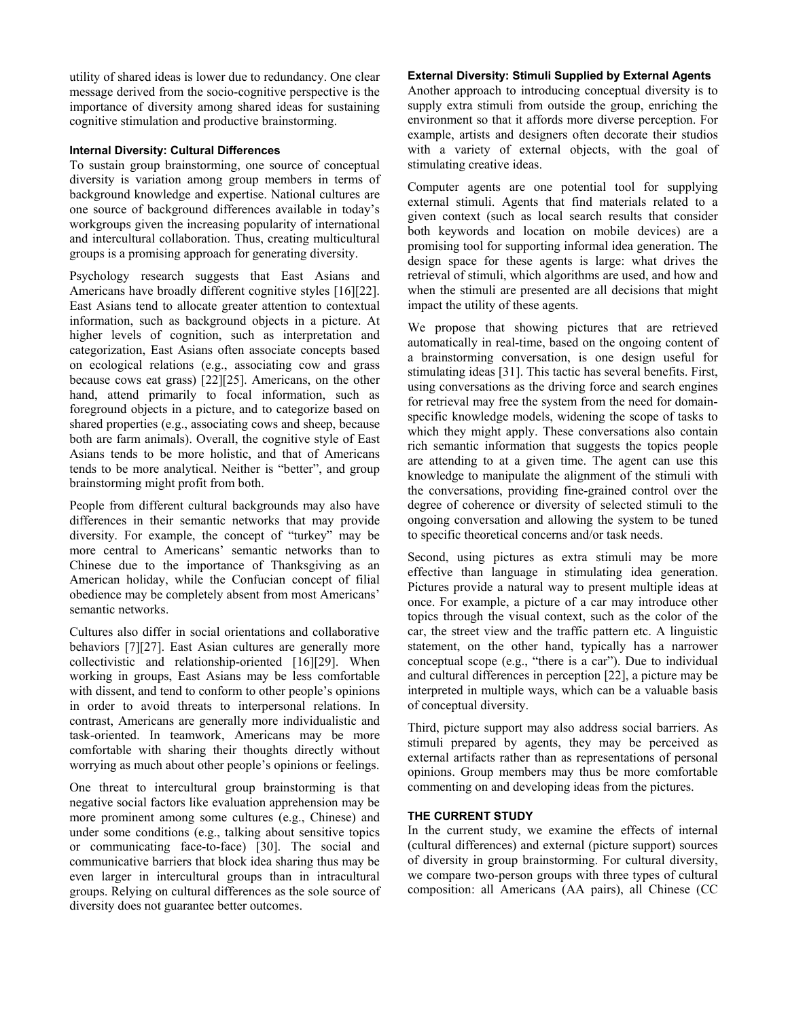utility of shared ideas is lower due to redundancy. One clear message derived from the socio-cognitive perspective is the importance of diversity among shared ideas for sustaining cognitive stimulation and productive brainstorming.

#### **Internal Diversity: Cultural Differences**

To sustain group brainstorming, one source of conceptual diversity is variation among group members in terms of background knowledge and expertise. National cultures are one source of background differences available in today's workgroups given the increasing popularity of international and intercultural collaboration. Thus, creating multicultural groups is a promising approach for generating diversity.

Psychology research suggests that East Asians and Americans have broadly different cognitive styles [16][22]. East Asians tend to allocate greater attention to contextual information, such as background objects in a picture. At higher levels of cognition, such as interpretation and categorization, East Asians often associate concepts based on ecological relations (e.g., associating cow and grass because cows eat grass) [22][25]. Americans, on the other hand, attend primarily to focal information, such as foreground objects in a picture, and to categorize based on shared properties (e.g., associating cows and sheep, because both are farm animals). Overall, the cognitive style of East Asians tends to be more holistic, and that of Americans tends to be more analytical. Neither is "better", and group brainstorming might profit from both.

People from different cultural backgrounds may also have differences in their semantic networks that may provide diversity. For example, the concept of "turkey" may be more central to Americans' semantic networks than to Chinese due to the importance of Thanksgiving as an American holiday, while the Confucian concept of filial obedience may be completely absent from most Americans' semantic networks.

Cultures also differ in social orientations and collaborative behaviors [7][27]. East Asian cultures are generally more collectivistic and relationship-oriented [16][29]. When working in groups, East Asians may be less comfortable with dissent, and tend to conform to other people's opinions in order to avoid threats to interpersonal relations. In contrast, Americans are generally more individualistic and task-oriented. In teamwork, Americans may be more comfortable with sharing their thoughts directly without worrying as much about other people's opinions or feelings.

One threat to intercultural group brainstorming is that negative social factors like evaluation apprehension may be more prominent among some cultures (e.g., Chinese) and under some conditions (e.g., talking about sensitive topics or communicating face-to-face) [30]. The social and communicative barriers that block idea sharing thus may be even larger in intercultural groups than in intracultural groups. Relying on cultural differences as the sole source of diversity does not guarantee better outcomes.

#### **External Diversity: Stimuli Supplied by External Agents**

Another approach to introducing conceptual diversity is to supply extra stimuli from outside the group, enriching the environment so that it affords more diverse perception. For example, artists and designers often decorate their studios with a variety of external objects, with the goal of stimulating creative ideas.

Computer agents are one potential tool for supplying external stimuli. Agents that find materials related to a given context (such as local search results that consider both keywords and location on mobile devices) are a promising tool for supporting informal idea generation. The design space for these agents is large: what drives the retrieval of stimuli, which algorithms are used, and how and when the stimuli are presented are all decisions that might impact the utility of these agents.

We propose that showing pictures that are retrieved automatically in real-time, based on the ongoing content of a brainstorming conversation, is one design useful for stimulating ideas [31]. This tactic has several benefits. First, using conversations as the driving force and search engines for retrieval may free the system from the need for domainspecific knowledge models, widening the scope of tasks to which they might apply. These conversations also contain rich semantic information that suggests the topics people are attending to at a given time. The agent can use this knowledge to manipulate the alignment of the stimuli with the conversations, providing fine-grained control over the degree of coherence or diversity of selected stimuli to the ongoing conversation and allowing the system to be tuned to specific theoretical concerns and/or task needs.

Second, using pictures as extra stimuli may be more effective than language in stimulating idea generation. Pictures provide a natural way to present multiple ideas at once. For example, a picture of a car may introduce other topics through the visual context, such as the color of the car, the street view and the traffic pattern etc. A linguistic statement, on the other hand, typically has a narrower conceptual scope (e.g., "there is a car"). Due to individual and cultural differences in perception [22], a picture may be interpreted in multiple ways, which can be a valuable basis of conceptual diversity.

Third, picture support may also address social barriers. As stimuli prepared by agents, they may be perceived as external artifacts rather than as representations of personal opinions. Group members may thus be more comfortable commenting on and developing ideas from the pictures.

#### **THE CURRENT STUDY**

In the current study, we examine the effects of internal (cultural differences) and external (picture support) sources of diversity in group brainstorming. For cultural diversity, we compare two-person groups with three types of cultural composition: all Americans (AA pairs), all Chinese (CC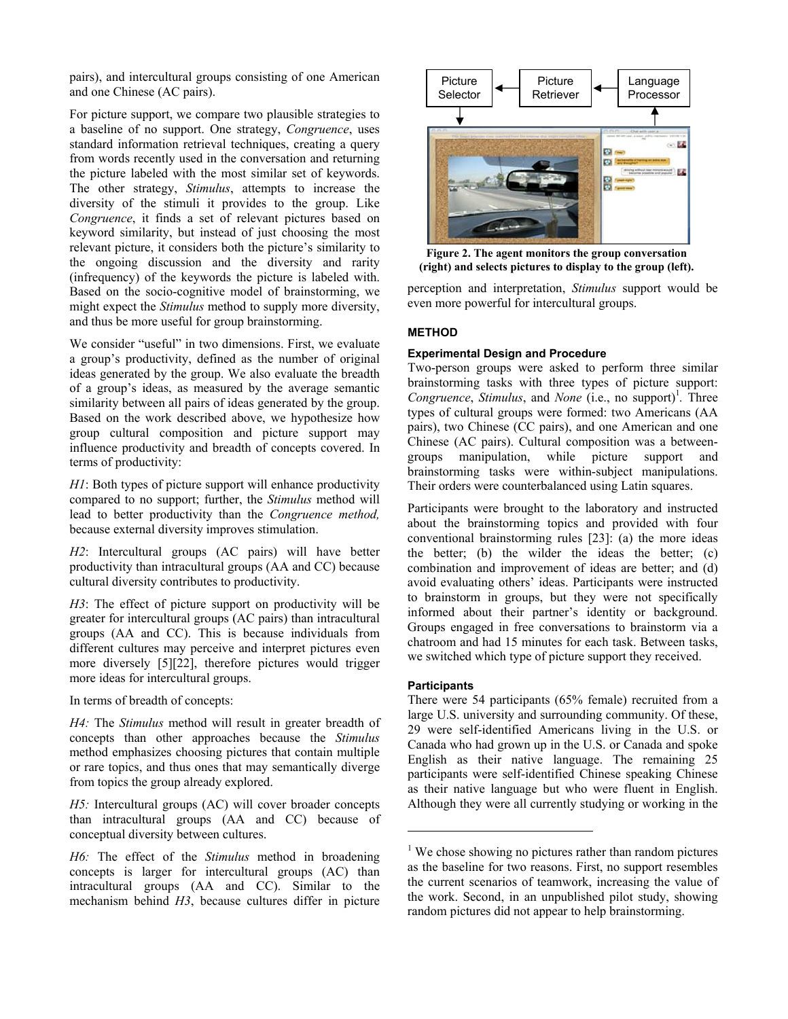pairs), and intercultural groups consisting of one American and one Chinese (AC pairs).

For picture support, we compare two plausible strategies to a baseline of no support. One strategy, *Congruence*, uses standard information retrieval techniques, creating a query from words recently used in the conversation and returning the picture labeled with the most similar set of keywords. The other strategy, *Stimulus*, attempts to increase the diversity of the stimuli it provides to the group. Like *Congruence*, it finds a set of relevant pictures based on keyword similarity, but instead of just choosing the most relevant picture, it considers both the picture's similarity to the ongoing discussion and the diversity and rarity (infrequency) of the keywords the picture is labeled with. Based on the socio-cognitive model of brainstorming, we might expect the *Stimulus* method to supply more diversity, and thus be more useful for group brainstorming.

We consider "useful" in two dimensions. First, we evaluate a group's productivity, defined as the number of original ideas generated by the group. We also evaluate the breadth of a group's ideas, as measured by the average semantic similarity between all pairs of ideas generated by the group. Based on the work described above, we hypothesize how group cultural composition and picture support may influence productivity and breadth of concepts covered. In terms of productivity:

*H1*: Both types of picture support will enhance productivity compared to no support; further, the *Stimulus* method will lead to better productivity than the *Congruence method,*  because external diversity improves stimulation.

*H2*: Intercultural groups (AC pairs) will have better productivity than intracultural groups (AA and CC) because cultural diversity contributes to productivity.

*H3*: The effect of picture support on productivity will be greater for intercultural groups (AC pairs) than intracultural groups (AA and CC). This is because individuals from different cultures may perceive and interpret pictures even more diversely [5][22], therefore pictures would trigger more ideas for intercultural groups.

In terms of breadth of concepts:

*H4:* The *Stimulus* method will result in greater breadth of concepts than other approaches because the *Stimulus* method emphasizes choosing pictures that contain multiple or rare topics, and thus ones that may semantically diverge from topics the group already explored.

*H5:* Intercultural groups (AC) will cover broader concepts than intracultural groups (AA and CC) because of conceptual diversity between cultures.

*H6:* The effect of the *Stimulus* method in broadening concepts is larger for intercultural groups (AC) than intracultural groups (AA and CC). Similar to the mechanism behind *H3*, because cultures differ in picture



**Figure 2. The agent monitors the group conversation (right) and selects pictures to display to the group (left).**

perception and interpretation, *Stimulus* support would be even more powerful for intercultural groups.

# **METHOD**

## **Experimental Design and Procedure**

Two-person groups were asked to perform three similar brainstorming tasks with three types of picture support: *Congruence*, *Stimulus*, and *None* (i.e., no support)<sup>1</sup>. Three types of cultural groups were formed: two Americans (AA pairs), two Chinese (CC pairs), and one American and one Chinese (AC pairs). Cultural composition was a betweengroups manipulation, while picture support and brainstorming tasks were within-subject manipulations. Their orders were counterbalanced using Latin squares.

Participants were brought to the laboratory and instructed about the brainstorming topics and provided with four conventional brainstorming rules [23]: (a) the more ideas the better; (b) the wilder the ideas the better; (c) combination and improvement of ideas are better; and (d) avoid evaluating others' ideas. Participants were instructed to brainstorm in groups, but they were not specifically informed about their partner's identity or background. Groups engaged in free conversations to brainstorm via a chatroom and had 15 minutes for each task. Between tasks, we switched which type of picture support they received.

#### **Participants**

l

There were 54 participants (65% female) recruited from a large U.S. university and surrounding community. Of these, 29 were self-identified Americans living in the U.S. or Canada who had grown up in the U.S. or Canada and spoke English as their native language. The remaining 25 participants were self-identified Chinese speaking Chinese as their native language but who were fluent in English. Although they were all currently studying or working in the

<sup>&</sup>lt;sup>1</sup> We chose showing no pictures rather than random pictures as the baseline for two reasons. First, no support resembles the current scenarios of teamwork, increasing the value of the work. Second, in an unpublished pilot study, showing random pictures did not appear to help brainstorming.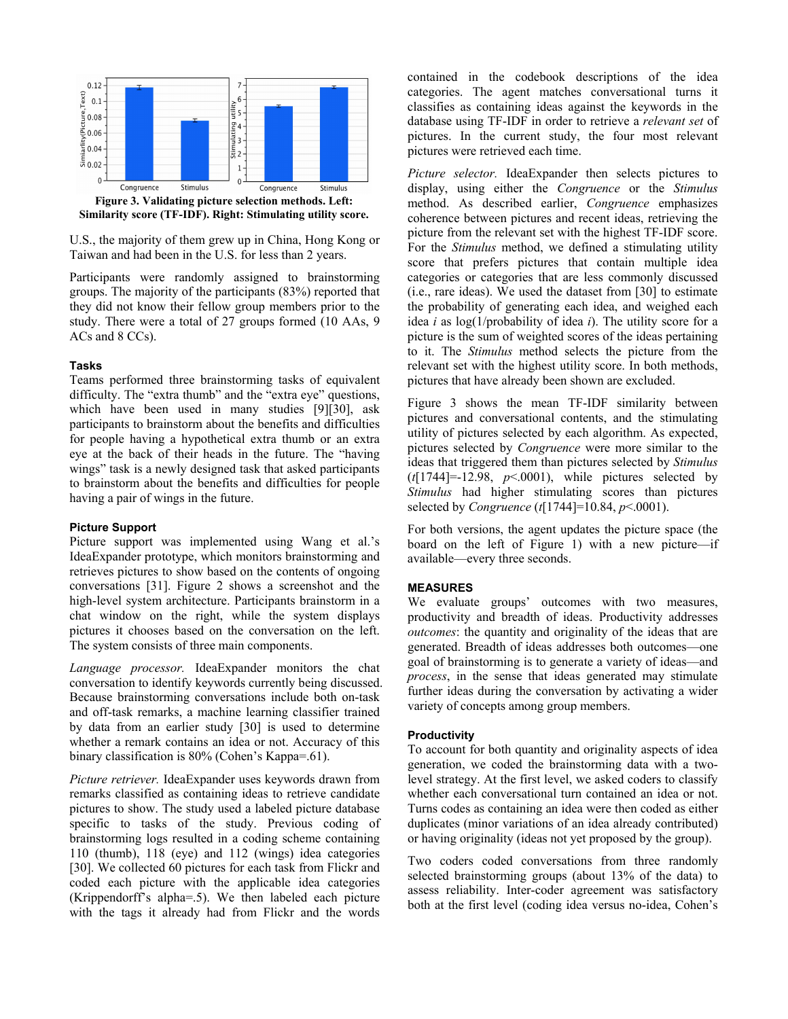

**Figure 3. Validating picture selection methods. Left: Similarity score (TF-IDF). Right: Stimulating utility score.** 

U.S., the majority of them grew up in China, Hong Kong or Taiwan and had been in the U.S. for less than 2 years.

Participants were randomly assigned to brainstorming groups. The majority of the participants (83%) reported that they did not know their fellow group members prior to the study. There were a total of 27 groups formed (10 AAs, 9 ACs and 8 CCs).

#### **Tasks**

Teams performed three brainstorming tasks of equivalent difficulty. The "extra thumb" and the "extra eye" questions, which have been used in many studies [9][30], ask participants to brainstorm about the benefits and difficulties for people having a hypothetical extra thumb or an extra eye at the back of their heads in the future. The "having wings" task is a newly designed task that asked participants to brainstorm about the benefits and difficulties for people having a pair of wings in the future.

#### **Picture Support**

Picture support was implemented using Wang et al.'s IdeaExpander prototype, which monitors brainstorming and retrieves pictures to show based on the contents of ongoing conversations [31]. Figure 2 shows a screenshot and the high-level system architecture. Participants brainstorm in a chat window on the right, while the system displays pictures it chooses based on the conversation on the left. The system consists of three main components.

*Language processor.* IdeaExpander monitors the chat conversation to identify keywords currently being discussed. Because brainstorming conversations include both on-task and off-task remarks, a machine learning classifier trained by data from an earlier study [30] is used to determine whether a remark contains an idea or not. Accuracy of this binary classification is 80% (Cohen's Kappa=.61).

*Picture retriever.* IdeaExpander uses keywords drawn from remarks classified as containing ideas to retrieve candidate pictures to show. The study used a labeled picture database specific to tasks of the study. Previous coding of brainstorming logs resulted in a coding scheme containing 110 (thumb), 118 (eye) and 112 (wings) idea categories [30]. We collected 60 pictures for each task from Flickr and coded each picture with the applicable idea categories (Krippendorff's alpha=.5). We then labeled each picture with the tags it already had from Flickr and the words

contained in the codebook descriptions of the idea categories. The agent matches conversational turns it classifies as containing ideas against the keywords in the database using TF-IDF in order to retrieve a *relevant set* of pictures. In the current study, the four most relevant pictures were retrieved each time.

*Picture selector.* IdeaExpander then selects pictures to display, using either the *Congruence* or the *Stimulus*  method. As described earlier, *Congruence* emphasizes coherence between pictures and recent ideas, retrieving the picture from the relevant set with the highest TF-IDF score. For the *Stimulus* method, we defined a stimulating utility score that prefers pictures that contain multiple idea categories or categories that are less commonly discussed (i.e., rare ideas). We used the dataset from [30] to estimate the probability of generating each idea, and weighed each idea *i* as log(1/probability of idea *i*). The utility score for a picture is the sum of weighted scores of the ideas pertaining to it. The *Stimulus* method selects the picture from the relevant set with the highest utility score. In both methods, pictures that have already been shown are excluded.

Figure 3 shows the mean TF-IDF similarity between pictures and conversational contents, and the stimulating utility of pictures selected by each algorithm. As expected, pictures selected by *Congruence* were more similar to the ideas that triggered them than pictures selected by *Stimulus* (*t*[1744]=-12.98, *p*<.0001), while pictures selected by *Stimulus* had higher stimulating scores than pictures selected by *Congruence* (*t*[1744]=10.84, *p*<.0001).

For both versions, the agent updates the picture space (the board on the left of Figure 1) with a new picture—if available—every three seconds.

## **MEASURES**

We evaluate groups' outcomes with two measures, productivity and breadth of ideas. Productivity addresses *outcomes*: the quantity and originality of the ideas that are generated. Breadth of ideas addresses both outcomes—one goal of brainstorming is to generate a variety of ideas—and *process*, in the sense that ideas generated may stimulate further ideas during the conversation by activating a wider variety of concepts among group members.

#### **Productivity**

To account for both quantity and originality aspects of idea generation, we coded the brainstorming data with a twolevel strategy. At the first level, we asked coders to classify whether each conversational turn contained an idea or not. Turns codes as containing an idea were then coded as either duplicates (minor variations of an idea already contributed) or having originality (ideas not yet proposed by the group).

Two coders coded conversations from three randomly selected brainstorming groups (about 13% of the data) to assess reliability. Inter-coder agreement was satisfactory both at the first level (coding idea versus no-idea, Cohen's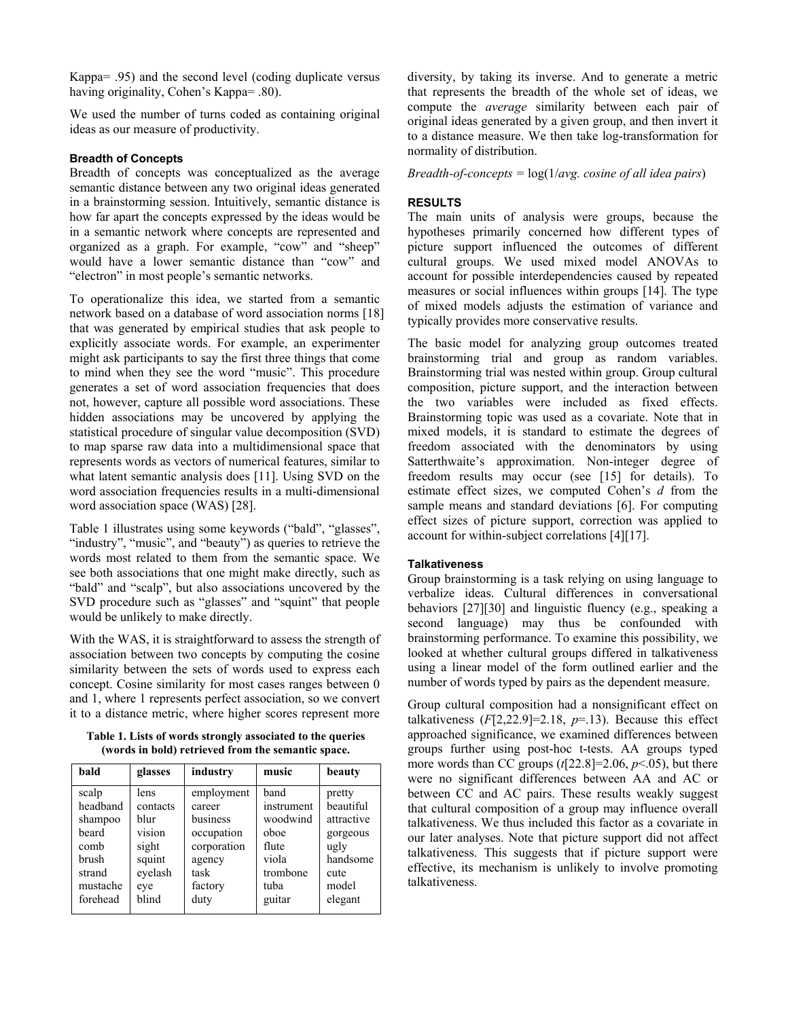Kappa= .95) and the second level (coding duplicate versus having originality, Cohen's Kappa= .80).

We used the number of turns coded as containing original ideas as our measure of productivity.

## **Breadth of Concepts**

Breadth of concepts was conceptualized as the average semantic distance between any two original ideas generated in a brainstorming session. Intuitively, semantic distance is how far apart the concepts expressed by the ideas would be in a semantic network where concepts are represented and organized as a graph. For example, "cow" and "sheep" would have a lower semantic distance than "cow" and "electron" in most people's semantic networks.

To operationalize this idea, we started from a semantic network based on a database of word association norms [18] that was generated by empirical studies that ask people to explicitly associate words. For example, an experimenter might ask participants to say the first three things that come to mind when they see the word "music". This procedure generates a set of word association frequencies that does not, however, capture all possible word associations. These hidden associations may be uncovered by applying the statistical procedure of singular value decomposition (SVD) to map sparse raw data into a multidimensional space that represents words as vectors of numerical features, similar to what latent semantic analysis does [11]. Using SVD on the word association frequencies results in a multi-dimensional word association space (WAS) [28].

Table 1 illustrates using some keywords ("bald", "glasses", "industry", "music", and "beauty") as queries to retrieve the words most related to them from the semantic space. We see both associations that one might make directly, such as "bald" and "scalp", but also associations uncovered by the SVD procedure such as "glasses" and "squint" that people would be unlikely to make directly.

With the WAS, it is straightforward to assess the strength of association between two concepts by computing the cosine similarity between the sets of words used to express each concept. Cosine similarity for most cases ranges between 0 and 1, where 1 represents perfect association, so we convert it to a distance metric, where higher scores represent more

**Table 1. Lists of words strongly associated to the queries (words in bold) retrieved from the semantic space.** 

| bald     | glasses  | industry    | music      | beauty     |
|----------|----------|-------------|------------|------------|
| scalp    | lens     | employment  | band       | pretty     |
| headband | contacts | career      | instrument | beautiful  |
| shampoo  | blur     | business    | woodwind   | attractive |
| beard    | vision   | occupation  | oboe       | gorgeous   |
| comb     | sight    | corporation | flute      | ugly       |
| brush    | squint   | agency      | viola      | handsome   |
| strand   | eyelash  | task        | trombone   | cute       |
| mustache | eye      | factory     | tuba       | model      |
| forehead | blind    | duty        | guitar     | elegant    |

diversity, by taking its inverse. And to generate a metric that represents the breadth of the whole set of ideas, we compute the *average* similarity between each pair of original ideas generated by a given group, and then invert it to a distance measure. We then take log-transformation for normality of distribution.

*Breadth-of-concepts =* log(1/*avg. cosine of all idea pairs*)

# **RESULTS**

The main units of analysis were groups, because the hypotheses primarily concerned how different types of picture support influenced the outcomes of different cultural groups. We used mixed model ANOVAs to account for possible interdependencies caused by repeated measures or social influences within groups [14]. The type of mixed models adjusts the estimation of variance and typically provides more conservative results.

The basic model for analyzing group outcomes treated brainstorming trial and group as random variables. Brainstorming trial was nested within group. Group cultural composition, picture support, and the interaction between the two variables were included as fixed effects. Brainstorming topic was used as a covariate. Note that in mixed models, it is standard to estimate the degrees of freedom associated with the denominators by using Satterthwaite's approximation. Non-integer degree of freedom results may occur (see [15] for details). To estimate effect sizes, we computed Cohen's *d* from the sample means and standard deviations [6]. For computing effect sizes of picture support, correction was applied to account for within-subject correlations [4][17].

#### **Talkativeness**

Group brainstorming is a task relying on using language to verbalize ideas. Cultural differences in conversational behaviors [27][30] and linguistic fluency (e.g., speaking a second language) may thus be confounded with brainstorming performance. To examine this possibility, we looked at whether cultural groups differed in talkativeness using a linear model of the form outlined earlier and the number of words typed by pairs as the dependent measure.

Group cultural composition had a nonsignificant effect on talkativeness  $(F[2,22.9]=2.18, p=.13)$ . Because this effect approached significance, we examined differences between groups further using post-hoc t-tests. AA groups typed more words than CC groups (*t*[22.8]=2.06, *p*<.05), but there were no significant differences between AA and AC or between CC and AC pairs. These results weakly suggest that cultural composition of a group may influence overall talkativeness. We thus included this factor as a covariate in our later analyses. Note that picture support did not affect talkativeness. This suggests that if picture support were effective, its mechanism is unlikely to involve promoting talkativeness.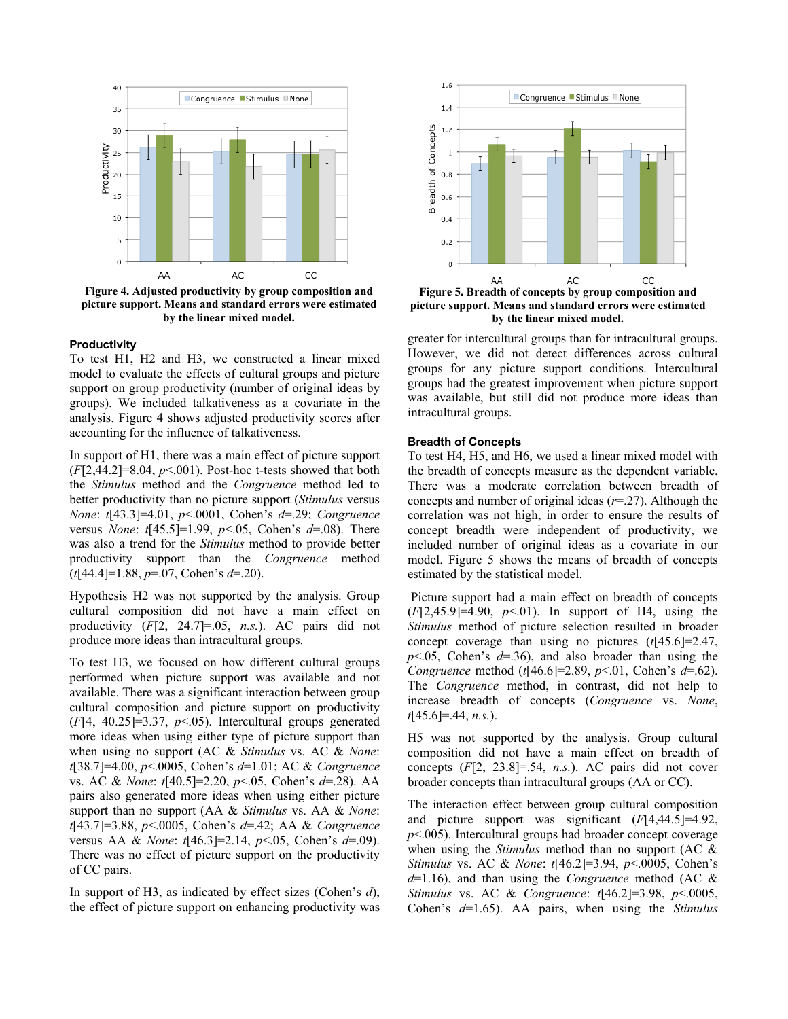

**Figure 4. Adjusted productivity by group composition and picture support. Means and standard errors were estimated by the linear mixed model.** 

#### **Productivity**

To test H1, H2 and H3, we constructed a linear mixed model to evaluate the effects of cultural groups and picture support on group productivity (number of original ideas by groups). We included talkativeness as a covariate in the analysis. Figure 4 shows adjusted productivity scores after accounting for the influence of talkativeness.

In support of H1, there was a main effect of picture support (*F*[2,44.2]=8.04, *p*<.001). Post-hoc t-tests showed that both the *Stimulus* method and the *Congruence* method led to better productivity than no picture support (*Stimulus* versus *None*: *t*[43.3]=4.01, *p*<.0001, Cohen's *d*=.29; *Congruence* versus *None*: *t*[45.5]=1.99, *p*<.05, Cohen's *d*=.08). There was also a trend for the *Stimulus* method to provide better productivity support than the *Congruence* method (*t*[44.4]=1.88, *p*=.07, Cohen's *d*=.20).

Hypothesis H2 was not supported by the analysis. Group cultural composition did not have a main effect on productivity (*F*[2, 24.7]=.05, *n.s.*). AC pairs did not produce more ideas than intracultural groups.

To test H3, we focused on how different cultural groups performed when picture support was available and not available. There was a significant interaction between group cultural composition and picture support on productivity (*F*[4, 40.25]=3.37, *p*<.05). Intercultural groups generated more ideas when using either type of picture support than when using no support (AC & *Stimulus* vs. AC & *None*: *t*[38.7]=4.00, *p*<.0005, Cohen's *d*=1.01; AC & *Congruence* vs. AC & *None*: *t*[40.5]=2.20, *p*<.05, Cohen's *d*=.28). AA pairs also generated more ideas when using either picture support than no support (AA & *Stimulus* vs. AA & *None*: *t*[43.7]=3.88, *p*<.0005, Cohen's *d*=.42; AA & *Congruence* versus AA & *None*: *t*[46.3]=2.14, *p*<.05, Cohen's *d*=.09). There was no effect of picture support on the productivity of CC pairs.

In support of H3, as indicated by effect sizes (Cohen's *d*), the effect of picture support on enhancing productivity was



**picture support. Means and standard errors were estimated by the linear mixed model.** 

greater for intercultural groups than for intracultural groups. However, we did not detect differences across cultural groups for any picture support conditions. Intercultural groups had the greatest improvement when picture support was available, but still did not produce more ideas than intracultural groups.

#### **Breadth of Concepts**

To test H4, H5, and H6, we used a linear mixed model with the breadth of concepts measure as the dependent variable. There was a moderate correlation between breadth of concepts and number of original ideas (*r*=.27). Although the correlation was not high, in order to ensure the results of concept breadth were independent of productivity, we included number of original ideas as a covariate in our model. Figure 5 shows the means of breadth of concepts estimated by the statistical model.

 Picture support had a main effect on breadth of concepts (*F*[2,45.9]=4.90, *p*<.01). In support of H4, using the *Stimulus* method of picture selection resulted in broader concept coverage than using no pictures (*t*[45.6]=2.47,  $p<.05$ , Cohen's  $d=36$ , and also broader than using the *Congruence* method (*t*[46.6]=2.89, *p*<.01, Cohen's *d*=.62). The *Congruence* method, in contrast, did not help to increase breadth of concepts (*Congruence* vs. *None*, *t*[45.6]=.44, *n.s.*).

H5 was not supported by the analysis. Group cultural composition did not have a main effect on breadth of concepts (*F*[2, 23.8]=.54, *n.s.*). AC pairs did not cover broader concepts than intracultural groups (AA or CC).

The interaction effect between group cultural composition and picture support was significant (*F*[4,44.5]=4.92, *p*<.005). Intercultural groups had broader concept coverage when using the *Stimulus* method than no support (AC & *Stimulus* vs. AC & *None*: *t*[46.2]=3.94, *p*<.0005, Cohen's *d*=1.16), and than using the *Congruence* method (AC & *Stimulus* vs. AC & *Congruence*: *t*[46.2]=3.98, *p*<.0005, Cohen's *d*=1.65). AA pairs, when using the *Stimulus*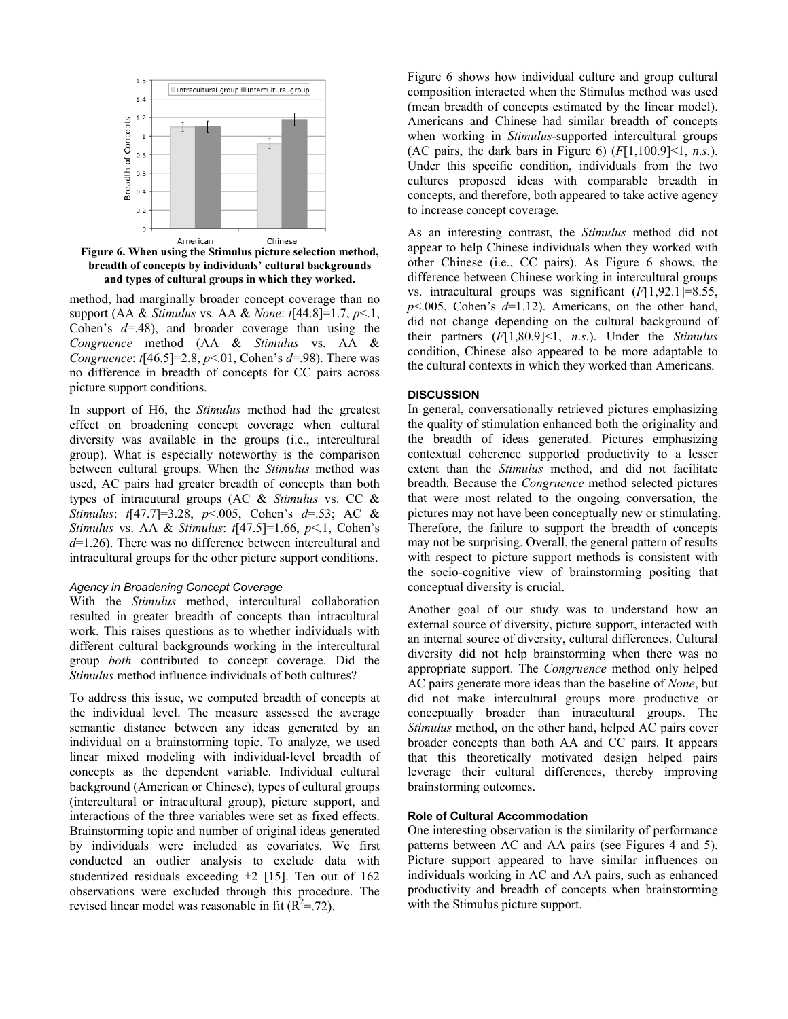

**Figure 6. When using the Stimulus picture selection method, breadth of concepts by individuals' cultural backgrounds and types of cultural groups in which they worked.** 

method, had marginally broader concept coverage than no support (AA & *Stimulus* vs. AA & *None*: *t*[44.8]=1.7, *p*<.1, Cohen's *d*=.48), and broader coverage than using the *Congruence* method (AA & *Stimulus* vs. AA & *Congruence*: *t*[46.5]=2.8, *p*<.01, Cohen's *d*=.98). There was no difference in breadth of concepts for CC pairs across picture support conditions.

In support of H6, the *Stimulus* method had the greatest effect on broadening concept coverage when cultural diversity was available in the groups (i.e., intercultural group). What is especially noteworthy is the comparison between cultural groups. When the *Stimulus* method was used, AC pairs had greater breadth of concepts than both types of intracutural groups (AC & *Stimulus* vs. CC & *Stimulus*: *t*[47.7]=3.28, *p*<.005, Cohen's *d*=.53; AC & *Stimulus* vs. AA & *Stimulus*: *t*[47.5]=1.66, *p*<.1, Cohen's *d*=1.26). There was no difference between intercultural and intracultural groups for the other picture support conditions.

## *Agency in Broadening Concept Coverage*

With the *Stimulus* method, intercultural collaboration resulted in greater breadth of concepts than intracultural work. This raises questions as to whether individuals with different cultural backgrounds working in the intercultural group *both* contributed to concept coverage. Did the *Stimulus* method influence individuals of both cultures?

To address this issue, we computed breadth of concepts at the individual level. The measure assessed the average semantic distance between any ideas generated by an individual on a brainstorming topic. To analyze, we used linear mixed modeling with individual-level breadth of concepts as the dependent variable. Individual cultural background (American or Chinese), types of cultural groups (intercultural or intracultural group), picture support, and interactions of the three variables were set as fixed effects. Brainstorming topic and number of original ideas generated by individuals were included as covariates. We first conducted an outlier analysis to exclude data with studentized residuals exceeding  $\pm 2$  [15]. Ten out of 162 observations were excluded through this procedure. The revised linear model was reasonable in fit  $(R^2 = .72)$ .

Figure 6 shows how individual culture and group cultural composition interacted when the Stimulus method was used (mean breadth of concepts estimated by the linear model). Americans and Chinese had similar breadth of concepts when working in *Stimulus*-supported intercultural groups (AC pairs, the dark bars in Figure 6)  $(F[1,100.9] \le 1, n.s.).$ Under this specific condition, individuals from the two cultures proposed ideas with comparable breadth in concepts, and therefore, both appeared to take active agency to increase concept coverage.

As an interesting contrast, the *Stimulus* method did not appear to help Chinese individuals when they worked with other Chinese (i.e., CC pairs). As Figure 6 shows, the difference between Chinese working in intercultural groups vs. intracultural groups was significant (*F*[1,92.1]=8.55, *p*<.005, Cohen's *d*=1.12). Americans, on the other hand, did not change depending on the cultural background of their partners (*F*[1,80.9]<1, *n*.*s*.). Under the *Stimulus* condition, Chinese also appeared to be more adaptable to the cultural contexts in which they worked than Americans.

## **DISCUSSION**

In general, conversationally retrieved pictures emphasizing the quality of stimulation enhanced both the originality and the breadth of ideas generated. Pictures emphasizing contextual coherence supported productivity to a lesser extent than the *Stimulus* method, and did not facilitate breadth. Because the *Congruence* method selected pictures that were most related to the ongoing conversation, the pictures may not have been conceptually new or stimulating. Therefore, the failure to support the breadth of concepts may not be surprising. Overall, the general pattern of results with respect to picture support methods is consistent with the socio-cognitive view of brainstorming positing that conceptual diversity is crucial.

Another goal of our study was to understand how an external source of diversity, picture support, interacted with an internal source of diversity, cultural differences. Cultural diversity did not help brainstorming when there was no appropriate support. The *Congruence* method only helped AC pairs generate more ideas than the baseline of *None*, but did not make intercultural groups more productive or conceptually broader than intracultural groups. The *Stimulus* method, on the other hand, helped AC pairs cover broader concepts than both AA and CC pairs. It appears that this theoretically motivated design helped pairs leverage their cultural differences, thereby improving brainstorming outcomes.

#### **Role of Cultural Accommodation**

One interesting observation is the similarity of performance patterns between AC and AA pairs (see Figures 4 and 5). Picture support appeared to have similar influences on individuals working in AC and AA pairs, such as enhanced productivity and breadth of concepts when brainstorming with the Stimulus picture support.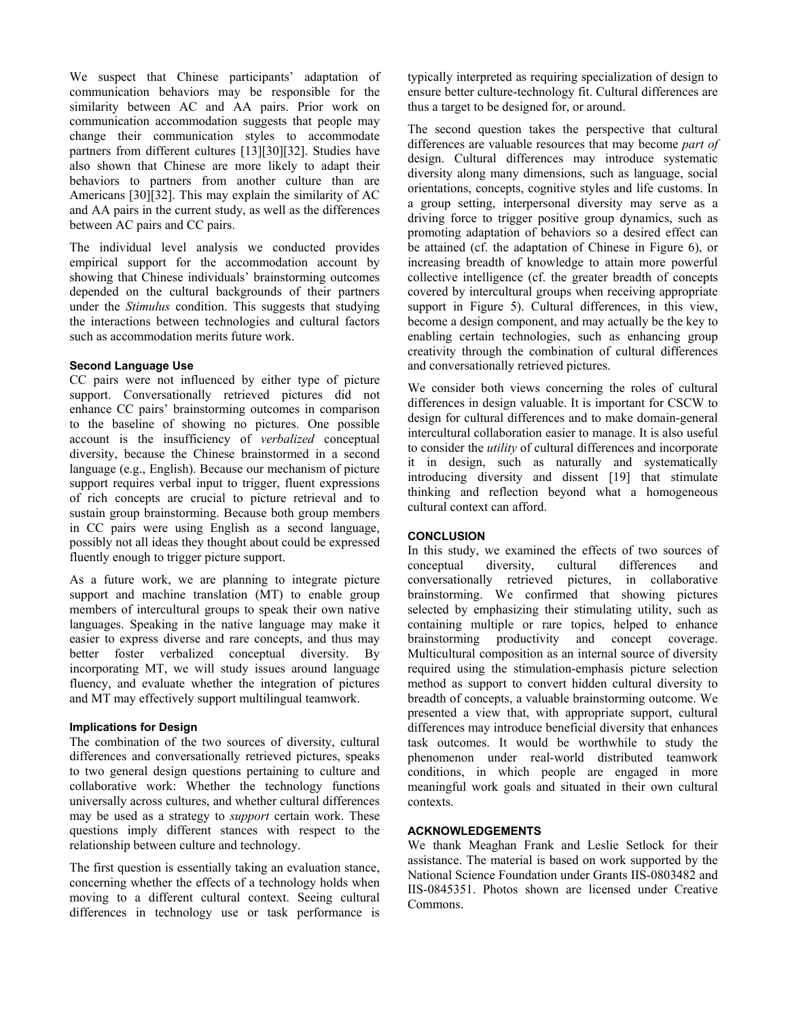We suspect that Chinese participants' adaptation of communication behaviors may be responsible for the similarity between AC and AA pairs. Prior work on communication accommodation suggests that people may change their communication styles to accommodate partners from different cultures [13][30][32]. Studies have also shown that Chinese are more likely to adapt their behaviors to partners from another culture than are Americans [30][32]. This may explain the similarity of AC and AA pairs in the current study, as well as the differences between AC pairs and CC pairs.

The individual level analysis we conducted provides empirical support for the accommodation account by showing that Chinese individuals' brainstorming outcomes depended on the cultural backgrounds of their partners under the *Stimulus* condition. This suggests that studying the interactions between technologies and cultural factors such as accommodation merits future work.

#### **Second Language Use**

CC pairs were not influenced by either type of picture support. Conversationally retrieved pictures did not enhance CC pairs' brainstorming outcomes in comparison to the baseline of showing no pictures. One possible account is the insufficiency of *verbalized* conceptual diversity, because the Chinese brainstormed in a second language (e.g., English). Because our mechanism of picture support requires verbal input to trigger, fluent expressions of rich concepts are crucial to picture retrieval and to sustain group brainstorming. Because both group members in CC pairs were using English as a second language, possibly not all ideas they thought about could be expressed fluently enough to trigger picture support.

As a future work, we are planning to integrate picture support and machine translation (MT) to enable group members of intercultural groups to speak their own native languages. Speaking in the native language may make it easier to express diverse and rare concepts, and thus may better foster verbalized conceptual diversity. By incorporating MT, we will study issues around language fluency, and evaluate whether the integration of pictures and MT may effectively support multilingual teamwork.

# **Implications for Design**

The combination of the two sources of diversity, cultural differences and conversationally retrieved pictures, speaks to two general design questions pertaining to culture and collaborative work: Whether the technology functions universally across cultures, and whether cultural differences may be used as a strategy to *support* certain work. These questions imply different stances with respect to the relationship between culture and technology.

The first question is essentially taking an evaluation stance, concerning whether the effects of a technology holds when moving to a different cultural context. Seeing cultural differences in technology use or task performance is typically interpreted as requiring specialization of design to ensure better culture-technology fit. Cultural differences are thus a target to be designed for, or around.

The second question takes the perspective that cultural differences are valuable resources that may become *part of* design. Cultural differences may introduce systematic diversity along many dimensions, such as language, social orientations, concepts, cognitive styles and life customs. In a group setting, interpersonal diversity may serve as a driving force to trigger positive group dynamics, such as promoting adaptation of behaviors so a desired effect can be attained (cf. the adaptation of Chinese in Figure 6), or increasing breadth of knowledge to attain more powerful collective intelligence (cf. the greater breadth of concepts covered by intercultural groups when receiving appropriate support in Figure 5). Cultural differences, in this view, become a design component, and may actually be the key to enabling certain technologies, such as enhancing group creativity through the combination of cultural differences and conversationally retrieved pictures.

We consider both views concerning the roles of cultural differences in design valuable. It is important for CSCW to design for cultural differences and to make domain-general intercultural collaboration easier to manage. It is also useful to consider the *utility* of cultural differences and incorporate it in design, such as naturally and systematically introducing diversity and dissent [19] that stimulate thinking and reflection beyond what a homogeneous cultural context can afford.

# **CONCLUSION**

In this study, we examined the effects of two sources of conceptual diversity, cultural differences and conversationally retrieved pictures, in collaborative brainstorming. We confirmed that showing pictures selected by emphasizing their stimulating utility, such as containing multiple or rare topics, helped to enhance brainstorming productivity and concept coverage. Multicultural composition as an internal source of diversity required using the stimulation-emphasis picture selection method as support to convert hidden cultural diversity to breadth of concepts, a valuable brainstorming outcome. We presented a view that, with appropriate support, cultural differences may introduce beneficial diversity that enhances task outcomes. It would be worthwhile to study the phenomenon under real-world distributed teamwork conditions, in which people are engaged in more meaningful work goals and situated in their own cultural contexts.

# **ACKNOWLEDGEMENTS**

We thank Meaghan Frank and Leslie Setlock for their assistance. The material is based on work supported by the National Science Foundation under Grants IIS-0803482 and IIS-0845351. Photos shown are licensed under Creative Commons.